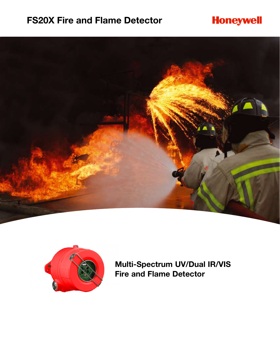## **FS20X Fire and Flame Detector**

# **Honeywell**





**Multi-Spectrum UV/Dual IR/VIS Fire and Flame Detector**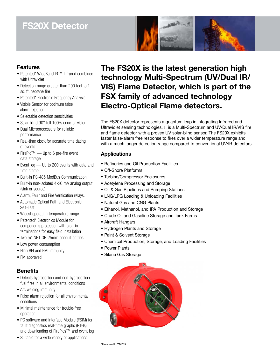# **FS20X Detector**



## **Features**

- Patented\* WideBand IR™ Infrared combined with Ultraviolet
- Detection range greater than 200 feet to 1 sq. ft. heptane fire
- Patented\* Electronic Frequency Analysis
- Visible Sensor for optimum false alarm rejection
- Selectable detection sensitivities
- Solar blind 90° full 100% cone-of-vision
- Dual Microprocessors for reliable performance
- Real-time clock for accurate time dating of events
- FirePic™ Up to 6 pre-fire event data storage
- Event log Up to 200 events with date and time stamp
- Built-in RS-485 ModBus Communication
- Built-in non-isolated 4-20 mA analog output (sink or source)
- Alarm, Fault and Fire Verification relays.
- Automatic Optical Path and Electronic Self-Test
- Widest operating temperature range
- Patented\* Electronics Module for components protection with plug-in terminations for easy field installation
- Two ¾" NPT OR 25mm conduit entries
- Low power consumption
- High RFI and EMI immunity
- FM approved

### **Benefits**

- Detects hydrocarbon and non-hydrocarbon fuel fires in all environmental conditions
- Arc welding immunity
- False alarm rejection for all environmental conditions
- Minimal maintenance for trouble-free operation
- PC software and Interface Module (FSIM) for fault diagnostics real-time graphs (RTGs), and downloading of FirePics™ and event log
- Suitable for a wide variety of applications

**The FS20X is the latest generation high technology Multi-Spectrum (UV/Dual IR/ VIS) Flame Detector, which is part of the FSX family of advanced technology Electro-Optical Flame detectors.**

The FS20X detector represents a quantum leap in integrating Infrared and Ultraviolet sensing technologies. It is a Multi-Spectrum and UV/Dual IR/VIS fire and flame detector with a proven UV solar-blind sensor. The FS20X exhibits faster false-alarm free response to fires over a wider temperature range and with a much longer detection range compared to conventional UV/IR detectors.

### **Applications**

- Refineries and Oil Production Facilities
- Off-Shore Platforms
- Turbine/Compressor Enclosures
- Acetylene Processing and Storage
- Oil & Gas Pipelines and Pumping Stations
- LNG/LPG Loading & Unloading Facilities
- Natural Gas and CNG Plants
- Ethanol, Methanol, and IPA Production and Storage
- Crude Oil and Gasoline Storage and Tank Farms
- Aircraft Hangars
- Hydrogen Plants and Storage
- Paint & Solvent Storage
- Chemical Production, Storage, and Loading Facilities
- Power Plants
- Silane Gas Storage

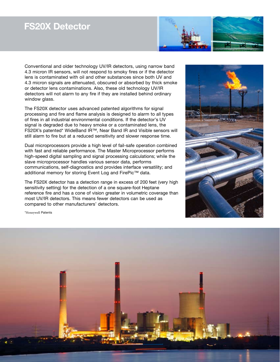## **FS20X Detector**



Conventional and older technology UV/IR detectors, using narrow band 4.3 micron IR sensors, will not respond to smoky fires or if the detector lens is contaminated with oil and other substances since both UV and 4.3 micron signals are attenuated, obscured or absorbed by thick smoke or detector lens contaminations. Also, these old technology UV/IR detectors will not alarm to any fire if they are installed behind ordinary window glass.

The FS20X detector uses advanced patented algorithms for signal processing and fire and flame analysis is designed to alarm to all types of fires in all industrial environmental conditions. If the detector's UV signal is degraded due to heavy smoke or a contaminated lens, the FS20X's patented\* WideBand IR™, Near Band IR and Visible sensors will still alarm to fire but at a reduced sensitivity and slower response time.

Dual microprocessors provide a high level of fail-safe operation combined with fast and reliable performance. The Master Microprocessor performs high-speed digital sampling and signal processing calculations; while the slave microprocessor handles various sensor data, performs communications, self-diagnostics and provides interface versatility; and additional memory for storing Event Log and FirePic™ data.

The FS20X detector has a detection range in excess of 200 feet (very high sensitivity setting) for the detection of a one square-foot Heptane reference fire and has a cone of vision greater in volumetric coverage than most UV/IR detectors. This means fewer detectors can be used as compared to other manufacturers' detectors.



\*Honeywell Patents